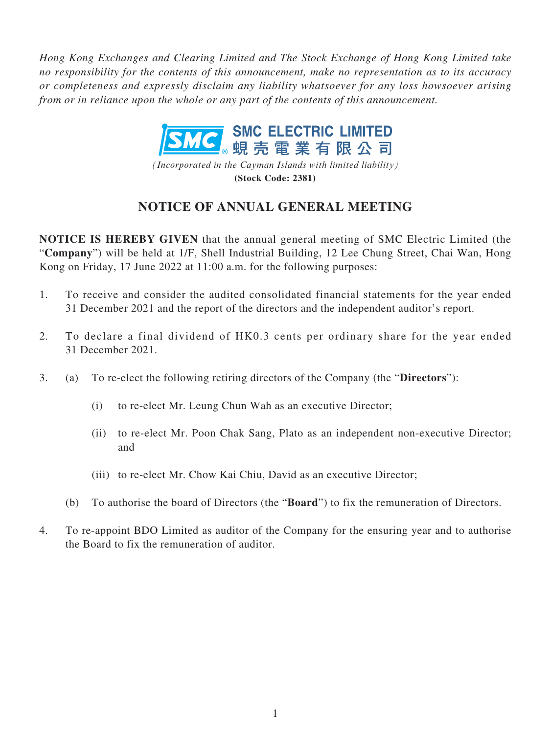*Hong Kong Exchanges and Clearing Limited and The Stock Exchange of Hong Kong Limited take no responsibility for the contents of this announcement, make no representation as to its accuracy or completeness and expressly disclaim any liability whatsoever for any loss howsoever arising from or in reliance upon the whole or any part of the contents of this announcement.*



*(Incorporated in the Cayman Islands with limited liability)* **(Stock Code: 2381)**

# **NOTICE OF ANNUAL GENERAL MEETING**

**NOTICE IS HEREBY GIVEN** that the annual general meeting of SMC Electric Limited (the "**Company**") will be held at 1/F, Shell Industrial Building, 12 Lee Chung Street, Chai Wan, Hong Kong on Friday, 17 June 2022 at 11:00 a.m. for the following purposes:

- 1. To receive and consider the audited consolidated financial statements for the year ended 31 December 2021 and the report of the directors and the independent auditor's report.
- 2. To declare a final dividend of HK0.3 cents per ordinary share for the year ended 31 December 2021.
- 3. (a) To re-elect the following retiring directors of the Company (the "**Directors**"):
	- (i) to re-elect Mr. Leung Chun Wah as an executive Director;
	- (ii) to re-elect Mr. Poon Chak Sang, Plato as an independent non-executive Director; and
	- (iii) to re-elect Mr. Chow Kai Chiu, David as an executive Director;
	- (b) To authorise the board of Directors (the "**Board**") to fix the remuneration of Directors.
- 4. To re-appoint BDO Limited as auditor of the Company for the ensuring year and to authorise the Board to fix the remuneration of auditor.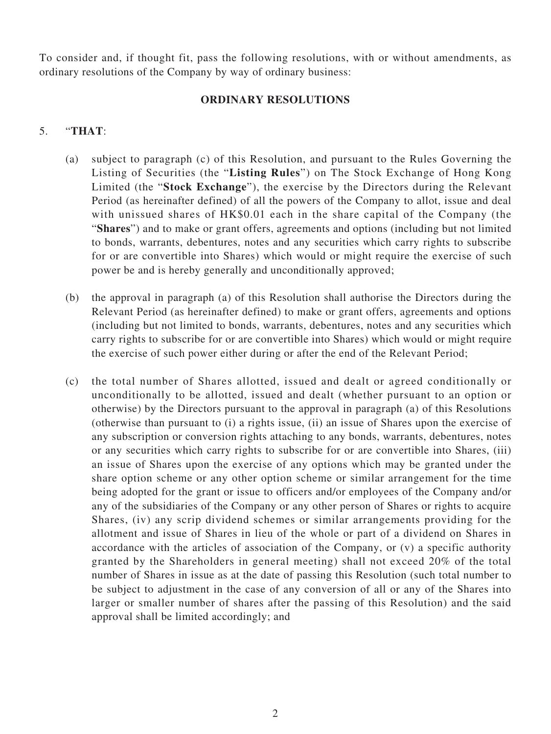To consider and, if thought fit, pass the following resolutions, with or without amendments, as ordinary resolutions of the Company by way of ordinary business:

### **ORDINARY RESOLUTIONS**

## 5. "**THAT**:

- (a) subject to paragraph (c) of this Resolution, and pursuant to the Rules Governing the Listing of Securities (the "**Listing Rules**") on The Stock Exchange of Hong Kong Limited (the "**Stock Exchange**"), the exercise by the Directors during the Relevant Period (as hereinafter defined) of all the powers of the Company to allot, issue and deal with unissued shares of HK\$0.01 each in the share capital of the Company (the "**Shares**") and to make or grant offers, agreements and options (including but not limited to bonds, warrants, debentures, notes and any securities which carry rights to subscribe for or are convertible into Shares) which would or might require the exercise of such power be and is hereby generally and unconditionally approved;
- (b) the approval in paragraph (a) of this Resolution shall authorise the Directors during the Relevant Period (as hereinafter defined) to make or grant offers, agreements and options (including but not limited to bonds, warrants, debentures, notes and any securities which carry rights to subscribe for or are convertible into Shares) which would or might require the exercise of such power either during or after the end of the Relevant Period;
- (c) the total number of Shares allotted, issued and dealt or agreed conditionally or unconditionally to be allotted, issued and dealt (whether pursuant to an option or otherwise) by the Directors pursuant to the approval in paragraph (a) of this Resolutions (otherwise than pursuant to (i) a rights issue, (ii) an issue of Shares upon the exercise of any subscription or conversion rights attaching to any bonds, warrants, debentures, notes or any securities which carry rights to subscribe for or are convertible into Shares, (iii) an issue of Shares upon the exercise of any options which may be granted under the share option scheme or any other option scheme or similar arrangement for the time being adopted for the grant or issue to officers and/or employees of the Company and/or any of the subsidiaries of the Company or any other person of Shares or rights to acquire Shares, (iv) any scrip dividend schemes or similar arrangements providing for the allotment and issue of Shares in lieu of the whole or part of a dividend on Shares in accordance with the articles of association of the Company, or (v) a specific authority granted by the Shareholders in general meeting) shall not exceed 20% of the total number of Shares in issue as at the date of passing this Resolution (such total number to be subject to adjustment in the case of any conversion of all or any of the Shares into larger or smaller number of shares after the passing of this Resolution) and the said approval shall be limited accordingly; and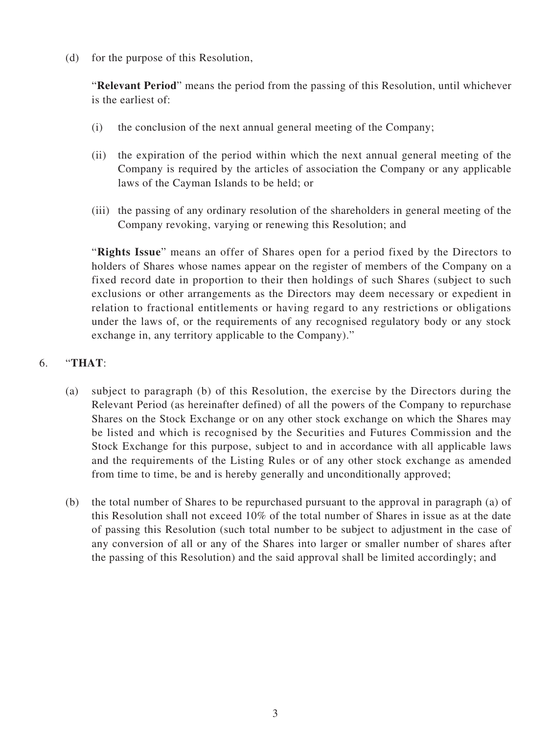(d) for the purpose of this Resolution,

"**Relevant Period**" means the period from the passing of this Resolution, until whichever is the earliest of:

- (i) the conclusion of the next annual general meeting of the Company;
- (ii) the expiration of the period within which the next annual general meeting of the Company is required by the articles of association the Company or any applicable laws of the Cayman Islands to be held; or
- (iii) the passing of any ordinary resolution of the shareholders in general meeting of the Company revoking, varying or renewing this Resolution; and

"**Rights Issue**" means an offer of Shares open for a period fixed by the Directors to holders of Shares whose names appear on the register of members of the Company on a fixed record date in proportion to their then holdings of such Shares (subject to such exclusions or other arrangements as the Directors may deem necessary or expedient in relation to fractional entitlements or having regard to any restrictions or obligations under the laws of, or the requirements of any recognised regulatory body or any stock exchange in, any territory applicable to the Company)."

# 6. "**THAT**:

- (a) subject to paragraph (b) of this Resolution, the exercise by the Directors during the Relevant Period (as hereinafter defined) of all the powers of the Company to repurchase Shares on the Stock Exchange or on any other stock exchange on which the Shares may be listed and which is recognised by the Securities and Futures Commission and the Stock Exchange for this purpose, subject to and in accordance with all applicable laws and the requirements of the Listing Rules or of any other stock exchange as amended from time to time, be and is hereby generally and unconditionally approved;
- (b) the total number of Shares to be repurchased pursuant to the approval in paragraph (a) of this Resolution shall not exceed 10% of the total number of Shares in issue as at the date of passing this Resolution (such total number to be subject to adjustment in the case of any conversion of all or any of the Shares into larger or smaller number of shares after the passing of this Resolution) and the said approval shall be limited accordingly; and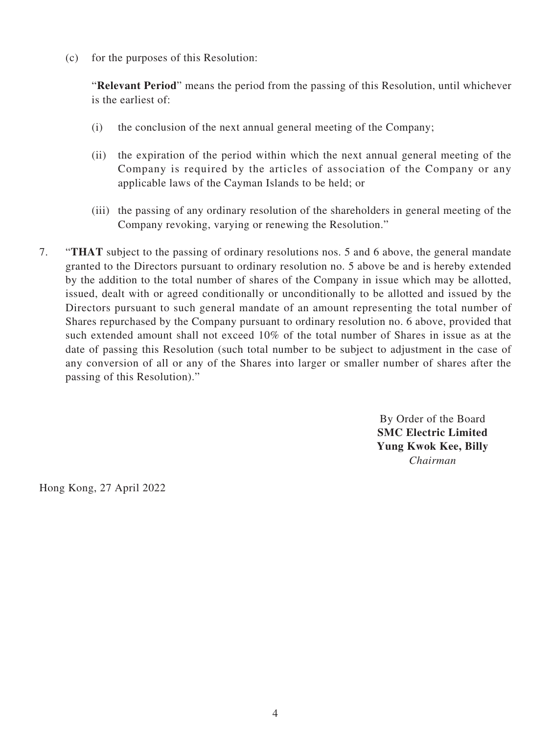(c) for the purposes of this Resolution:

"**Relevant Period**" means the period from the passing of this Resolution, until whichever is the earliest of:

- (i) the conclusion of the next annual general meeting of the Company;
- (ii) the expiration of the period within which the next annual general meeting of the Company is required by the articles of association of the Company or any applicable laws of the Cayman Islands to be held; or
- (iii) the passing of any ordinary resolution of the shareholders in general meeting of the Company revoking, varying or renewing the Resolution."
- 7. "**THAT** subject to the passing of ordinary resolutions nos. 5 and 6 above, the general mandate granted to the Directors pursuant to ordinary resolution no. 5 above be and is hereby extended by the addition to the total number of shares of the Company in issue which may be allotted, issued, dealt with or agreed conditionally or unconditionally to be allotted and issued by the Directors pursuant to such general mandate of an amount representing the total number of Shares repurchased by the Company pursuant to ordinary resolution no. 6 above, provided that such extended amount shall not exceed 10% of the total number of Shares in issue as at the date of passing this Resolution (such total number to be subject to adjustment in the case of any conversion of all or any of the Shares into larger or smaller number of shares after the passing of this Resolution)."

By Order of the Board **SMC Electric Limited Yung Kwok Kee, Billy** *Chairman*

Hong Kong, 27 April 2022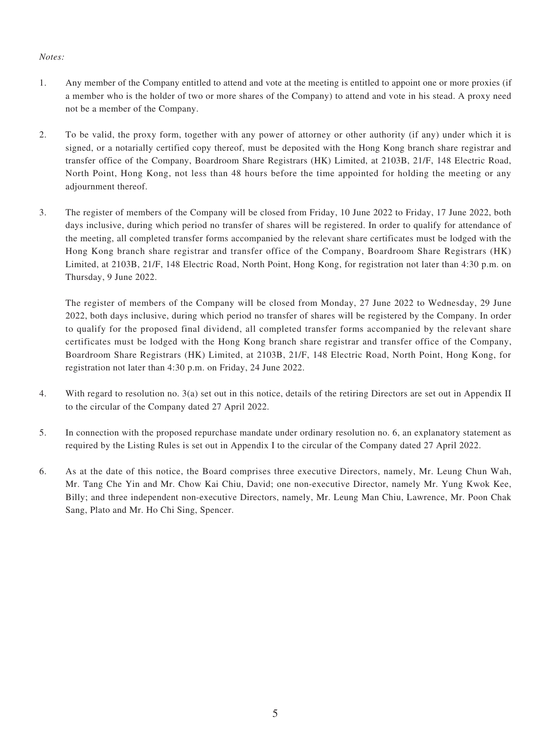#### *Notes:*

- 1. Any member of the Company entitled to attend and vote at the meeting is entitled to appoint one or more proxies (if a member who is the holder of two or more shares of the Company) to attend and vote in his stead. A proxy need not be a member of the Company.
- 2. To be valid, the proxy form, together with any power of attorney or other authority (if any) under which it is signed, or a notarially certified copy thereof, must be deposited with the Hong Kong branch share registrar and transfer office of the Company, Boardroom Share Registrars (HK) Limited, at 2103B, 21/F, 148 Electric Road, North Point, Hong Kong, not less than 48 hours before the time appointed for holding the meeting or any adjournment thereof.
- 3. The register of members of the Company will be closed from Friday, 10 June 2022 to Friday, 17 June 2022, both days inclusive, during which period no transfer of shares will be registered. In order to qualify for attendance of the meeting, all completed transfer forms accompanied by the relevant share certificates must be lodged with the Hong Kong branch share registrar and transfer office of the Company, Boardroom Share Registrars (HK) Limited, at 2103B, 21/F, 148 Electric Road, North Point, Hong Kong, for registration not later than 4:30 p.m. on Thursday, 9 June 2022.

The register of members of the Company will be closed from Monday, 27 June 2022 to Wednesday, 29 June 2022, both days inclusive, during which period no transfer of shares will be registered by the Company. In order to qualify for the proposed final dividend, all completed transfer forms accompanied by the relevant share certificates must be lodged with the Hong Kong branch share registrar and transfer office of the Company, Boardroom Share Registrars (HK) Limited, at 2103B, 21/F, 148 Electric Road, North Point, Hong Kong, for registration not later than 4:30 p.m. on Friday, 24 June 2022.

- 4. With regard to resolution no. 3(a) set out in this notice, details of the retiring Directors are set out in Appendix II to the circular of the Company dated 27 April 2022.
- 5. In connection with the proposed repurchase mandate under ordinary resolution no. 6, an explanatory statement as required by the Listing Rules is set out in Appendix I to the circular of the Company dated 27 April 2022.
- 6. As at the date of this notice, the Board comprises three executive Directors, namely, Mr. Leung Chun Wah, Mr. Tang Che Yin and Mr. Chow Kai Chiu, David; one non-executive Director, namely Mr. Yung Kwok Kee, Billy; and three independent non-executive Directors, namely, Mr. Leung Man Chiu, Lawrence, Mr. Poon Chak Sang, Plato and Mr. Ho Chi Sing, Spencer.